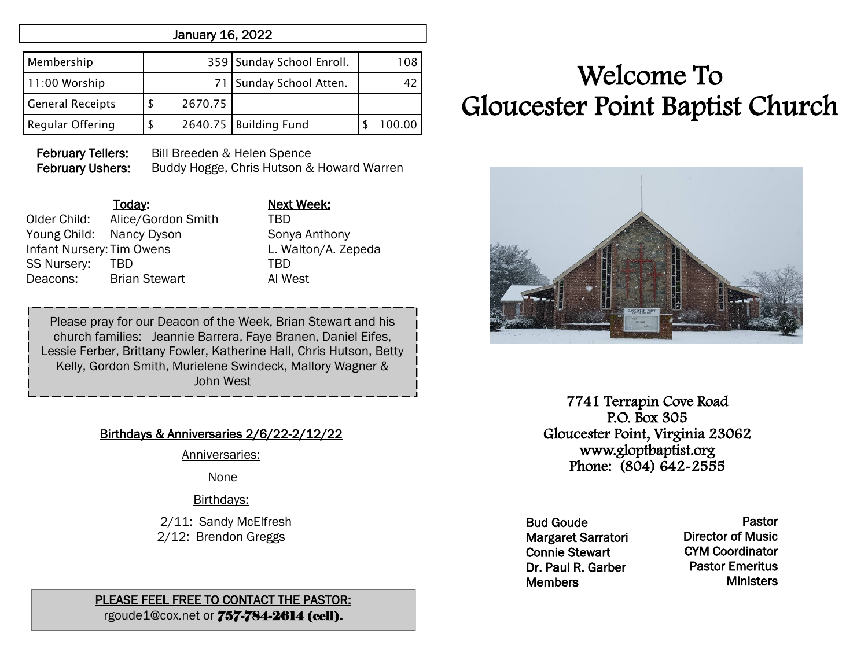# January 16, 2022

| Membership              |         | 359 Sunday School Enroll. | 108.   |
|-------------------------|---------|---------------------------|--------|
| 11:00 Worship           |         | 71   Sunday School Atten. |        |
| <b>General Receipts</b> | 2670.75 |                           |        |
| <b>Regular Offering</b> |         | 2640.75 Building Fund     | 100.00 |

February Tellers: Bill Breeden & Helen Spence February Ushers: Buddy Hogge, Chris Hutson & Howard Warren

| Today:                           | <b>Next</b>      |
|----------------------------------|------------------|
| Alice/Gordon Smith               | TBD              |
| Young Child: Nancy Dyson         | Son <sup>®</sup> |
| <b>Infant Nursery: Tim Owens</b> | L. W             |
| TBD                              | TBD              |
| <b>Brian Stewart</b>             | AI W             |
|                                  |                  |

Today: Next Week: Sonya Anthony L. Walton/A. Zepeda Al West

Please pray for our Deacon of the Week, Brian Stewart and his church families: Jeannie Barrera, Faye Branen, Daniel Eifes, Lessie Ferber, Brittany Fowler, Katherine Hall, Chris Hutson, Betty Kelly, Gordon Smith, Murielene Swindeck, Mallory Wagner & John West

# Birthdays & Anniversaries 2/6/22-2/12/22

Anniversaries:

None

#### Birthdays:

 2/11: Sandy McElfresh 2/12: Brendon Greggs

#### PLEASE FEEL FREE TO CONTACT THE PASTOR: rgoude1@cox.net or 757-784-2614 (cell).

# Welcome To Gloucester Point Baptist Church



7741 Terrapin Cove Road P.O. Box 305 Gloucester Point, Virginia 23062 www.gloptbaptist.org Phone: (804) 642-2555

Bud Goude Margaret Sarratori Connie Stewart Dr. Paul R. Garber **Members** 

Pastor Director of Music CYM Coordinator Pastor Emeritus **Ministers**